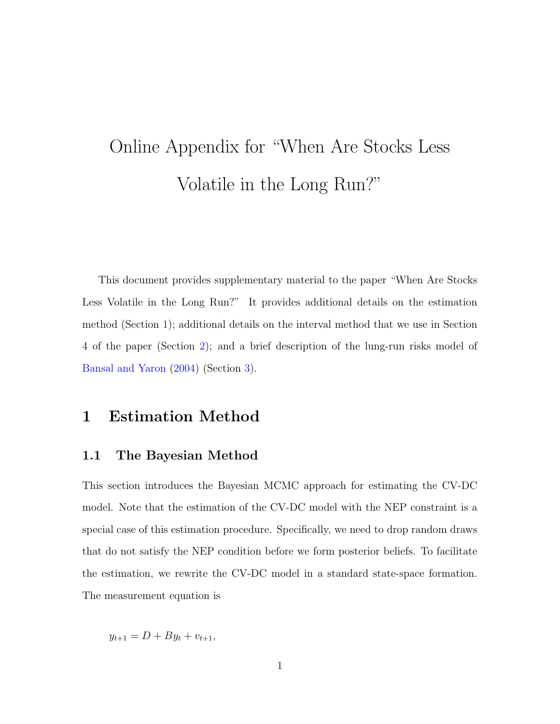# Online Appendix for "When Are Stocks Less Volatile in the Long Run?"

This document provides supplementary material to the paper "When Are Stocks Less Volatile in the Long Run?" It provides additional details on the estimation method (Section [1\)](#page-0-0); additional details on the interval method that we use in Section 4 of the paper (Section [2\)](#page-10-0); and a brief description of the lung-run risks model of [Bansal and Yaron](#page-18-0) [\(2004\)](#page-18-0) (Section [3\)](#page-13-0).

## <span id="page-0-0"></span>1 Estimation Method

#### <span id="page-0-1"></span>1.1 The Bayesian Method

This section introduces the Bayesian MCMC approach for estimating the CV-DC model. Note that the estimation of the CV-DC model with the NEP constraint is a special case of this estimation procedure. Specifically, we need to drop random draws that do not satisfy the NEP condition before we form posterior beliefs. To facilitate the estimation, we rewrite the CV-DC model in a standard state-space formation. The measurement equation is

 $y_{t+1} = D + By_t + v_{t+1}$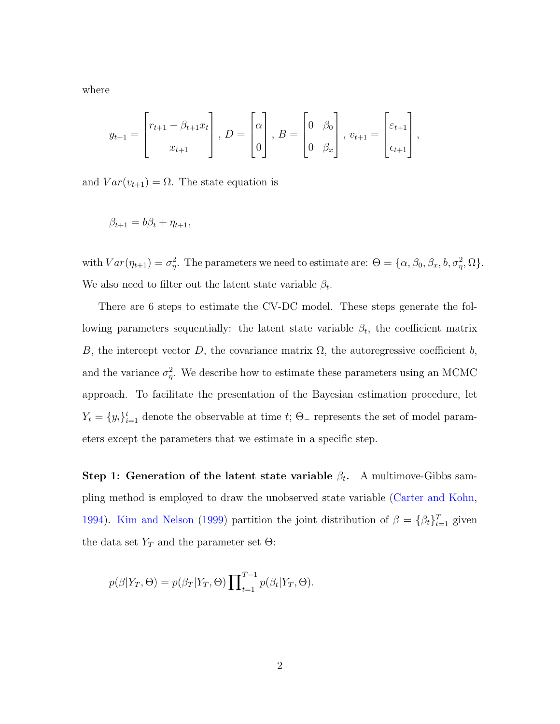where

$$
y_{t+1} = \begin{bmatrix} r_{t+1} - \beta_{t+1} x_t \\ x_{t+1} \end{bmatrix}, D = \begin{bmatrix} \alpha \\ 0 \end{bmatrix}, B = \begin{bmatrix} 0 & \beta_0 \\ 0 & \beta_x \end{bmatrix}, v_{t+1} = \begin{bmatrix} \varepsilon_{t+1} \\ \varepsilon_{t+1} \end{bmatrix},
$$

and  $Var(v_{t+1}) = \Omega$ . The state equation is

$$
\beta_{t+1} = b\beta_t + \eta_{t+1},
$$

with  $Var(\eta_{t+1}) = \sigma_{\eta}^2$ . The parameters we need to estimate are:  $\Theta = {\alpha, \beta_0, \beta_x, b, \sigma_{\eta}^2, \Omega}.$ We also need to filter out the latent state variable  $\beta_t$ .

There are 6 steps to estimate the CV-DC model. These steps generate the following parameters sequentially: the latent state variable  $\beta_t$ , the coefficient matrix B, the intercept vector D, the covariance matrix  $\Omega$ , the autoregressive coefficient b, and the variance  $\sigma_{\eta}^2$ . We describe how to estimate these parameters using an MCMC approach. To facilitate the presentation of the Bayesian estimation procedure, let  $Y_t = \{y_i\}_{i=1}^t$  denote the observable at time t;  $\Theta$ <sub>-</sub> represents the set of model parameters except the parameters that we estimate in a specific step.

Step 1: Generation of the latent state variable  $\beta_t$ . A multimove-Gibbs sampling method is employed to draw the unobserved state variable [\(Carter and Kohn,](#page-18-1) [1994\)](#page-18-1). [Kim and Nelson](#page-18-2) [\(1999\)](#page-18-2) partition the joint distribution of  $\beta = {\beta_t}_{t=1}^T$  given the data set  $Y_T$  and the parameter set  $\Theta$ :

$$
p(\beta|Y_T, \Theta) = p(\beta_T|Y_T, \Theta) \prod_{t=1}^{T-1} p(\beta_t|Y_T, \Theta).
$$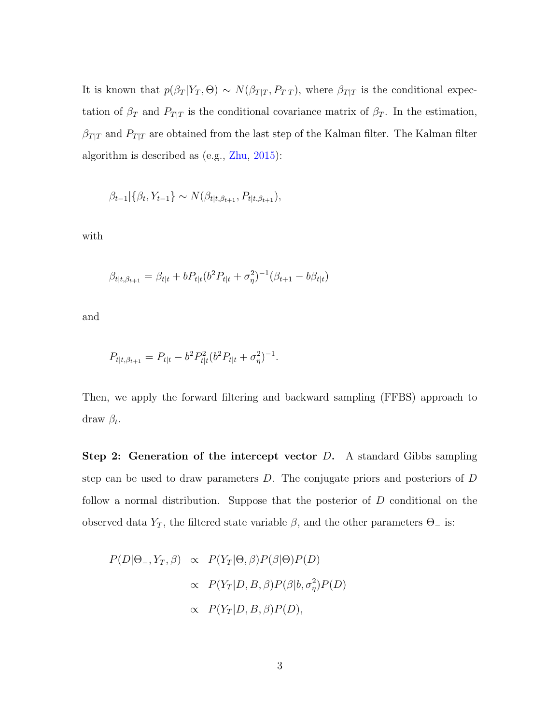It is known that  $p(\beta_T | Y_T, \Theta) \sim N(\beta_{T|T}, P_{T|T})$ , where  $\beta_{T|T}$  is the conditional expectation of  $\beta_T$  and  $P_{T|T}$  is the conditional covariance matrix of  $\beta_T$ . In the estimation,  $\beta_{T|T}$  and  $P_{T|T}$  are obtained from the last step of the Kalman filter. The Kalman filter algorithm is described as (e.g., [Zhu,](#page-19-0) [2015\)](#page-19-0):

$$
\beta_{t-1} | \{\beta_t, Y_{t-1}\} \sim N(\beta_{t|t, \beta_{t+1}}, P_{t|t, \beta_{t+1}}),
$$

with

$$
\beta_{t|t,\beta_{t+1}} = \beta_{t|t} + bP_{t|t}(b^2 P_{t|t} + \sigma_{\eta}^2)^{-1}(\beta_{t+1} - b\beta_{t|t})
$$

and

$$
P_{t|t,\beta_{t+1}} = P_{t|t} - b^2 P_{t|t}^2 (b^2 P_{t|t} + \sigma_\eta^2)^{-1}.
$$

Then, we apply the forward filtering and backward sampling (FFBS) approach to draw  $\beta_t$ .

**Step 2: Generation of the intercept vector D.** A standard Gibbs sampling step can be used to draw parameters D. The conjugate priors and posteriors of D follow a normal distribution. Suppose that the posterior of D conditional on the observed data  $Y_T$ , the filtered state variable  $\beta$ , and the other parameters  $\Theta_{-}$  is:

$$
P(D|\Theta_-, Y_T, \beta) \propto P(Y_T|\Theta, \beta)P(\beta|\Theta)P(D)
$$
  
 
$$
\propto P(Y_T|D, B, \beta)P(\beta|b, \sigma_{\eta}^2)P(D)
$$
  
 
$$
\propto P(Y_T|D, B, \beta)P(D),
$$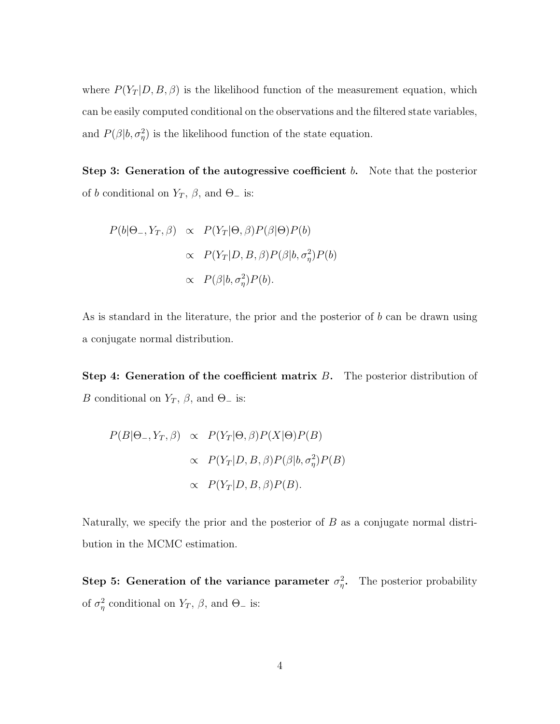where  $P(Y_T | D, B, \beta)$  is the likelihood function of the measurement equation, which can be easily computed conditional on the observations and the filtered state variables, and  $P(\beta|b, \sigma_{\eta}^2)$  is the likelihood function of the state equation.

Step 3: Generation of the autogressive coefficient  $b$ . Note that the posterior of b conditional on  $Y_T$ ,  $\beta$ , and  $\Theta_-$  is:

$$
P(b|\Theta_-, Y_T, \beta) \propto P(Y_T|\Theta, \beta)P(\beta|\Theta)P(b)
$$
  
 
$$
\propto P(Y_T|D, B, \beta)P(\beta|b, \sigma_\eta^2)P(b)
$$
  
 
$$
\propto P(\beta|b, \sigma_\eta^2)P(b).
$$

As is standard in the literature, the prior and the posterior of  $b$  can be drawn using a conjugate normal distribution.

Step 4: Generation of the coefficient matrix  $B$ . The posterior distribution of B conditional on  $Y_T$ ,  $\beta$ , and  $\Theta_-$  is:

$$
P(B|\Theta_-, Y_T, \beta) \propto P(Y_T|\Theta, \beta)P(X|\Theta)P(B)
$$
  
 
$$
\propto P(Y_T|D, B, \beta)P(\beta|b, \sigma_\eta^2)P(B)
$$
  
 
$$
\propto P(Y_T|D, B, \beta)P(B).
$$

Naturally, we specify the prior and the posterior of  $B$  as a conjugate normal distribution in the MCMC estimation.

Step 5: Generation of the variance parameter  $\sigma_{\eta}^2$ . The posterior probability of  $\sigma_{\eta}^2$  conditional on  $Y_T$ ,  $\beta$ , and  $\Theta_-$  is: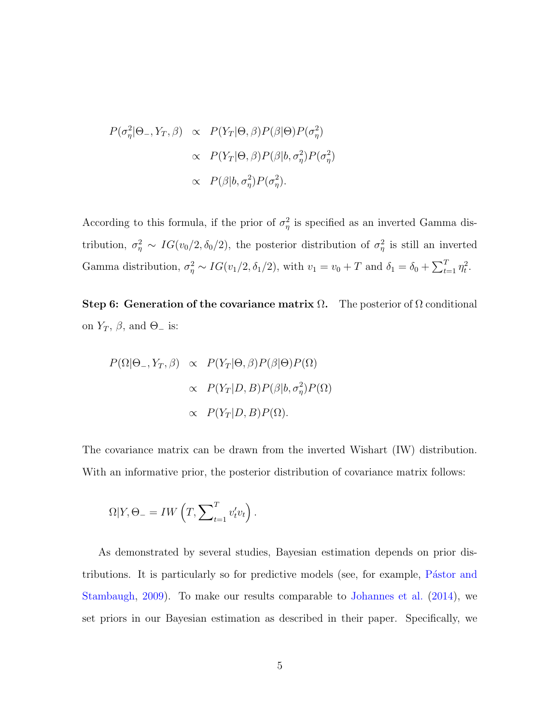$$
P(\sigma_{\eta}^{2}|\Theta_{-}, Y_{T}, \beta) \propto P(Y_{T}|\Theta, \beta)P(\beta|\Theta)P(\sigma_{\eta}^{2})
$$

$$
\propto P(Y_{T}|\Theta, \beta)P(\beta|b, \sigma_{\eta}^{2})P(\sigma_{\eta}^{2})
$$

$$
\propto P(\beta|b, \sigma_{\eta}^{2})P(\sigma_{\eta}^{2}).
$$

According to this formula, if the prior of  $\sigma_{\eta}^2$  is specified as an inverted Gamma distribution,  $\sigma_{\eta}^2 \sim IG(v_0/2, \delta_0/2)$ , the posterior distribution of  $\sigma_{\eta}^2$  is still an inverted Gamma distribution,  $\sigma_{\eta}^2 \sim IG(v_1/2, \delta_1/2)$ , with  $v_1 = v_0 + T$  and  $\delta_1 = \delta_0 + \sum_{t=1}^T \eta_t^2$ .

Step 6: Generation of the covariance matrix  $\Omega$ . The posterior of  $\Omega$  conditional on  $Y_T$ ,  $\beta$ , and  $\Theta$ <sub>-</sub> is:

$$
P(\Omega|\Theta_-, Y_T, \beta) \propto P(Y_T|\Theta, \beta)P(\beta|\Theta)P(\Omega)
$$
  
 
$$
\propto P(Y_T|D, B)P(\beta|b, \sigma_\eta^2)P(\Omega)
$$
  
 
$$
\propto P(Y_T|D, B)P(\Omega).
$$

The covariance matrix can be drawn from the inverted Wishart (IW) distribution. With an informative prior, the posterior distribution of covariance matrix follows:

$$
\Omega|Y, \Theta = IW\left(T, \sum_{t=1}^{T} v'_t v_t\right).
$$

As demonstrated by several studies, Bayesian estimation depends on prior distributions. It is particularly so for predictive models (see, for example, Pástor and [Stambaugh,](#page-18-3) [2009\)](#page-18-3). To make our results comparable to [Johannes et al.](#page-18-4) [\(2014\)](#page-18-4), we set priors in our Bayesian estimation as described in their paper. Specifically, we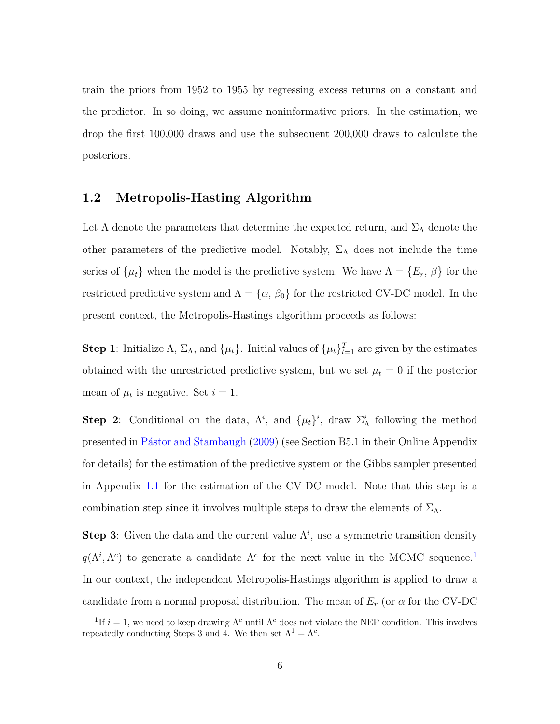train the priors from 1952 to 1955 by regressing excess returns on a constant and the predictor. In so doing, we assume noninformative priors. In the estimation, we drop the first 100,000 draws and use the subsequent 200,000 draws to calculate the posteriors.

## 1.2 Metropolis-Hasting Algorithm

Let  $\Lambda$  denote the parameters that determine the expected return, and  $\Sigma_{\Lambda}$  denote the other parameters of the predictive model. Notably,  $\Sigma_{\Lambda}$  does not include the time series of  $\{\mu_t\}$  when the model is the predictive system. We have  $\Lambda = \{E_r, \beta\}$  for the restricted predictive system and  $\Lambda = {\alpha, \beta_0}$  for the restricted CV-DC model. In the present context, the Metropolis-Hastings algorithm proceeds as follows:

**Step 1**: Initialize  $\Lambda$ ,  $\Sigma_{\Lambda}$ , and  $\{\mu_t\}$ . Initial values of  $\{\mu_t\}_{t=1}^T$  are given by the estimates obtained with the unrestricted predictive system, but we set  $\mu_t = 0$  if the posterior mean of  $\mu_t$  is negative. Set  $i = 1$ .

Step 2: Conditional on the data,  $\Lambda^i$ , and  $\{\mu_t\}^i$ , draw  $\Sigma^i_\Lambda$  following the method presented in Pástor and Stambaugh [\(2009\)](#page-18-3) (see Section B5.1 in their Online Appendix for details) for the estimation of the predictive system or the Gibbs sampler presented in Appendix [1.1](#page-0-1) for the estimation of the CV-DC model. Note that this step is a combination step since it involves multiple steps to draw the elements of  $\Sigma_{\Lambda}$ .

Step 3: Given the data and the current value  $\Lambda^i$ , use a symmetric transition density  $q(\Lambda^i, \Lambda^c)$  to generate a candidate  $\Lambda^c$  for the next value in the MCMC sequence.<sup>[1](#page-5-0)</sup> In our context, the independent Metropolis-Hastings algorithm is applied to draw a candidate from a normal proposal distribution. The mean of  $E_r$  (or  $\alpha$  for the CV-DC

<span id="page-5-0"></span><sup>&</sup>lt;sup>1</sup>If  $i = 1$ , we need to keep drawing  $\Lambda^c$  until  $\Lambda^c$  does not violate the NEP condition. This involves repeatedly conducting Steps 3 and 4. We then set  $\Lambda^1 = \Lambda^c$ .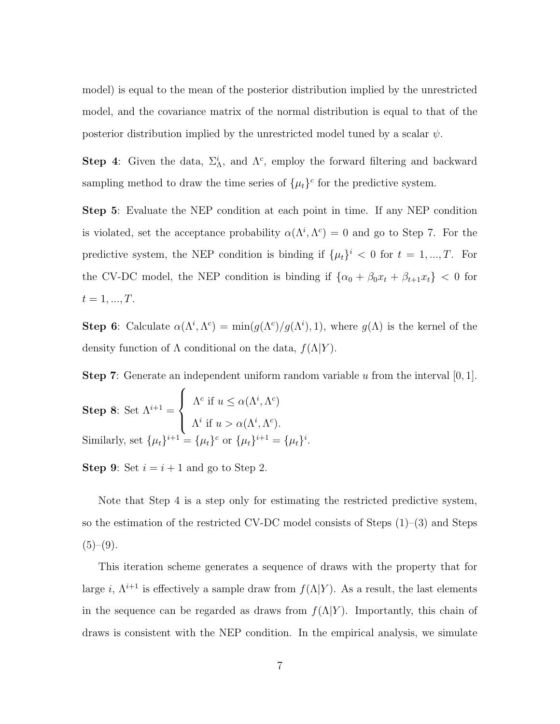model) is equal to the mean of the posterior distribution implied by the unrestricted model, and the covariance matrix of the normal distribution is equal to that of the posterior distribution implied by the unrestricted model tuned by a scalar  $\psi$ .

Step 4: Given the data,  $\Sigma_{\Lambda}^i$ , and  $\Lambda^c$ , employ the forward filtering and backward sampling method to draw the time series of  $\{\mu_t\}^c$  for the predictive system.

Step 5: Evaluate the NEP condition at each point in time. If any NEP condition is violated, set the acceptance probability  $\alpha(\Lambda^i, \Lambda^c) = 0$  and go to Step 7. For the predictive system, the NEP condition is binding if  $\{\mu_t\}^i < 0$  for  $t = 1, ..., T$ . For the CV-DC model, the NEP condition is binding if  $\{\alpha_0 + \beta_0 x_t + \beta_{t+1} x_t\} < 0$  for  $t = 1, ..., T$ .

Step 6: Calculate  $\alpha(\Lambda^i, \Lambda^c) = \min(g(\Lambda^c)/g(\Lambda^i), 1)$ , where  $g(\Lambda)$  is the kernel of the density function of  $\Lambda$  conditional on the data,  $f(\Lambda|Y)$ .

**Step 7:** Generate an independent uniform random variable  $u$  from the interval  $[0, 1]$ .

i .

Step 8: Set 
$$
\Lambda^{i+1} = \begin{cases} \Lambda^c \text{ if } u \le \alpha(\Lambda^i, \Lambda^c) \\ \Lambda^i \text{ if } u > \alpha(\Lambda^i, \Lambda^c). \end{cases}
$$
  
Similarly, set  $\{\mu_t\}^{i+1} = \{\mu_t\}^c$  or  $\{\mu_t\}^{i+1} = \{\mu_t\}$ 

**Step 9:** Set  $i = i + 1$  and go to Step 2.

Note that Step 4 is a step only for estimating the restricted predictive system, so the estimation of the restricted CV-DC model consists of Steps (1)–(3) and Steps  $(5)-(9)$ .

This iteration scheme generates a sequence of draws with the property that for large i,  $\Lambda^{i+1}$  is effectively a sample draw from  $f(\Lambda|Y)$ . As a result, the last elements in the sequence can be regarded as draws from  $f(\Lambda|Y)$ . Importantly, this chain of draws is consistent with the NEP condition. In the empirical analysis, we simulate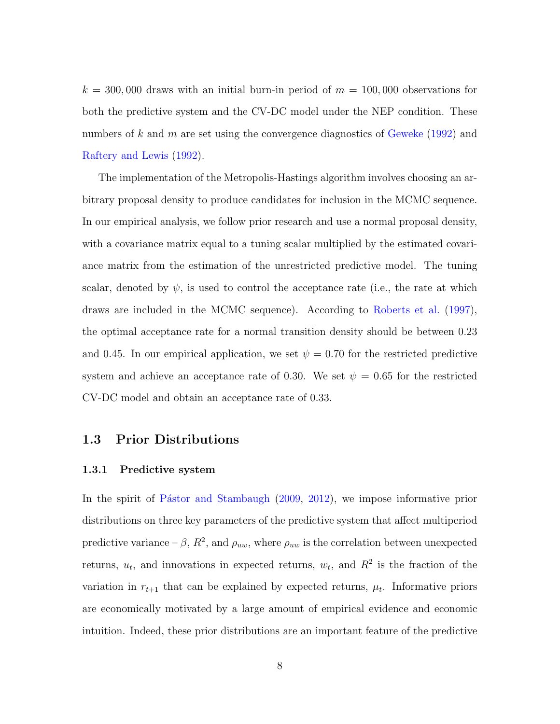$k = 300,000$  draws with an initial burn-in period of  $m = 100,000$  observations for both the predictive system and the CV-DC model under the NEP condition. These numbers of k and m are set using the convergence diagnostics of [Geweke](#page-18-5)  $(1992)$  and [Raftery and Lewis](#page-19-1) [\(1992\)](#page-19-1).

The implementation of the Metropolis-Hastings algorithm involves choosing an arbitrary proposal density to produce candidates for inclusion in the MCMC sequence. In our empirical analysis, we follow prior research and use a normal proposal density, with a covariance matrix equal to a tuning scalar multiplied by the estimated covariance matrix from the estimation of the unrestricted predictive model. The tuning scalar, denoted by  $\psi$ , is used to control the acceptance rate (i.e., the rate at which draws are included in the MCMC sequence). According to [Roberts et al.](#page-19-2) [\(1997\)](#page-19-2), the optimal acceptance rate for a normal transition density should be between 0.23 and 0.45. In our empirical application, we set  $\psi = 0.70$  for the restricted predictive system and achieve an acceptance rate of 0.30. We set  $\psi = 0.65$  for the restricted CV-DC model and obtain an acceptance rate of 0.33.

#### 1.3 Prior Distributions

#### 1.3.1 Predictive system

In the spirit of Pástor and Stambaugh [\(2009,](#page-18-3) [2012\)](#page-18-6), we impose informative prior distributions on three key parameters of the predictive system that affect multiperiod predictive variance –  $\beta$ ,  $R^2$ , and  $\rho_{uw}$ , where  $\rho_{uw}$  is the correlation between unexpected returns,  $u_t$ , and innovations in expected returns,  $w_t$ , and  $R^2$  is the fraction of the variation in  $r_{t+1}$  that can be explained by expected returns,  $\mu_t$ . Informative priors are economically motivated by a large amount of empirical evidence and economic intuition. Indeed, these prior distributions are an important feature of the predictive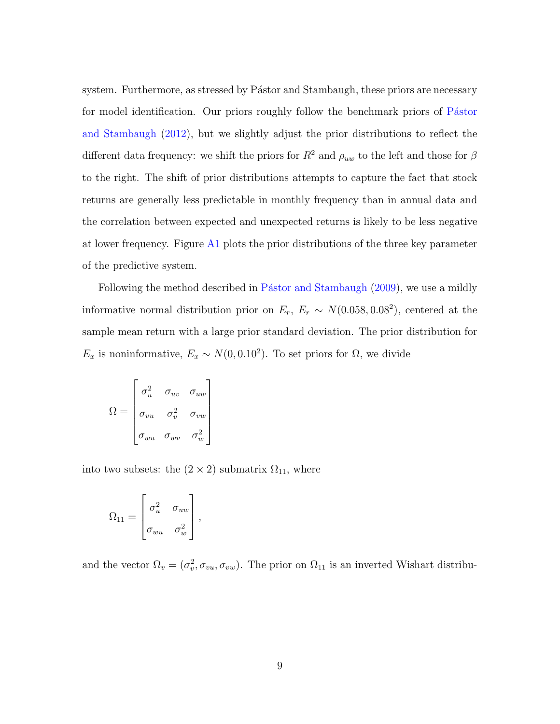system. Furthermore, as stressed by Pástor and Stambaugh, these priors are necessary for model identification. Our priors roughly follow the benchmark priors of Pástor [and Stambaugh](#page-18-6) [\(2012\)](#page-18-6), but we slightly adjust the prior distributions to reflect the different data frequency: we shift the priors for  $R^2$  and  $\rho_{uw}$  to the left and those for  $\beta$ to the right. The shift of prior distributions attempts to capture the fact that stock returns are generally less predictable in monthly frequency than in annual data and the correlation between expected and unexpected returns is likely to be less negative at lower frequency. Figure [A1](#page-10-1) plots the prior distributions of the three key parameter of the predictive system.

Following the method described in Pástor and Stambaugh [\(2009\)](#page-18-3), we use a mildly informative normal distribution prior on  $E_r$ ,  $E_r \sim N(0.058, 0.08^2)$ , centered at the sample mean return with a large prior standard deviation. The prior distribution for  $E_x$  is noninformative,  $E_x \sim N(0, 0.10^2)$ . To set priors for  $\Omega$ , we divide

$$
\Omega = \begin{bmatrix} \sigma_u^2 & \sigma_{uv} & \sigma_{uw} \\ \sigma_{vu} & \sigma_v^2 & \sigma_{vw} \\ \sigma_{wu} & \sigma_{wv} & \sigma_w^2 \end{bmatrix}
$$

into two subsets: the  $(2 \times 2)$  submatrix  $\Omega_{11}$ , where

$$
\Omega_{11} = \begin{bmatrix} \sigma_u^2 & \sigma_{uw} \\ \sigma_{wu} & \sigma_w^2 \end{bmatrix},
$$

and the vector  $\Omega_v = (\sigma_v^2, \sigma_{vu}, \sigma_{vw})$ . The prior on  $\Omega_{11}$  is an inverted Wishart distribu-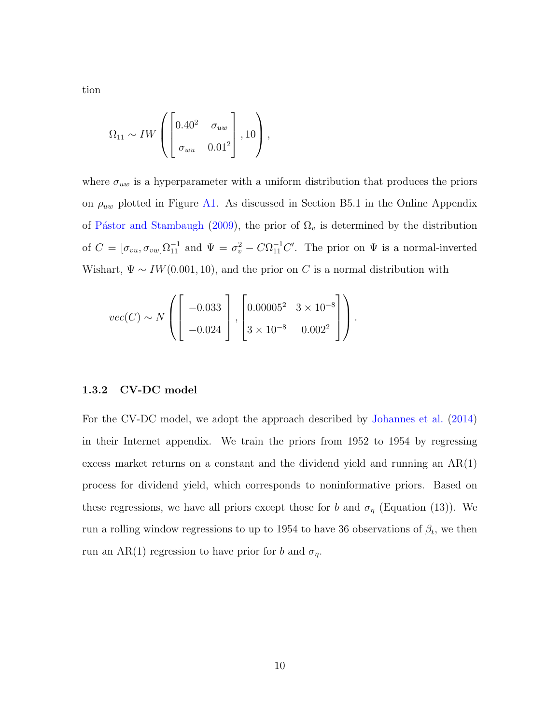tion

$$
\Omega_{11} \sim IW \left( \begin{bmatrix} 0.40^2 & \sigma_{uw} \\ \sigma_{wu} & 0.01^2 \end{bmatrix}, 10 \right),
$$

where  $\sigma_{uw}$  is a hyperparameter with a uniform distribution that produces the priors on  $\rho_{uw}$  plotted in Figure [A1.](#page-10-1) As discussed in Section B5.1 in the Online Appendix of Pástor and Stambaugh [\(2009\)](#page-18-3), the prior of  $\Omega_v$  is determined by the distribution of  $C = [\sigma_{vu}, \sigma_{vw}]\Omega_{11}^{-1}$  and  $\Psi = \sigma_v^2 - C\Omega_{11}^{-1}C'$ . The prior on  $\Psi$  is a normal-inverted Wishart,  $\Psi \sim IW(0.001, 10)$ , and the prior on C is a normal distribution with

$$
vec(C) \sim N\left(\left[\begin{array}{c} -0.033\\ -0.024 \end{array}\right], \left[\begin{array}{cc} 0.00005^{2} & 3 \times 10^{-8}\\ 3 \times 10^{-8} & 0.002^{2} \end{array}\right]\right).
$$

#### 1.3.2 CV-DC model

For the CV-DC model, we adopt the approach described by [Johannes et al.](#page-18-4) [\(2014\)](#page-18-4) in their Internet appendix. We train the priors from 1952 to 1954 by regressing excess market returns on a constant and the dividend yield and running an  $AR(1)$ process for dividend yield, which corresponds to noninformative priors. Based on these regressions, we have all priors except those for b and  $\sigma_{\eta}$  (Equation (13)). We run a rolling window regressions to up to 1954 to have 36 observations of  $\beta_t$ , we then run an AR(1) regression to have prior for b and  $\sigma_{\eta}$ .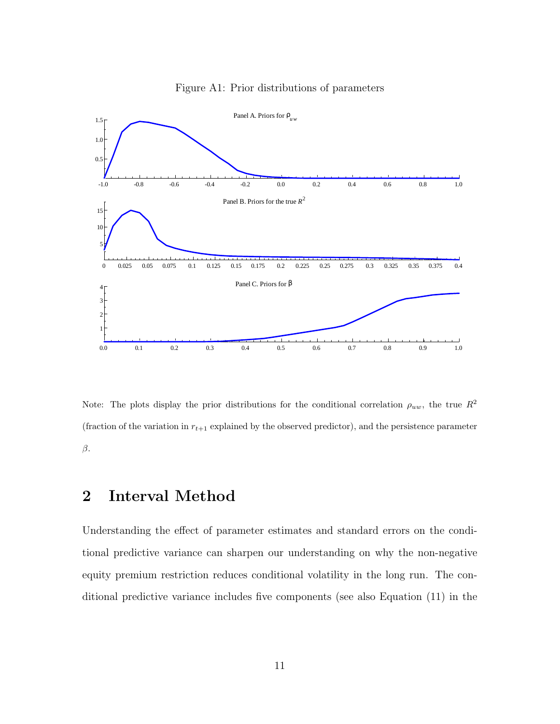<span id="page-10-1"></span>

Figure A1: Prior distributions of parameters

Note: The plots display the prior distributions for the conditional correlation  $\rho_{uw}$ , the true  $R^2$ (fraction of the variation in  $r_{t+1}$  explained by the observed predictor), and the persistence parameter  $\beta$ .

# <span id="page-10-0"></span>2 Interval Method

Understanding the effect of parameter estimates and standard errors on the conditional predictive variance can sharpen our understanding on why the non-negative equity premium restriction reduces conditional volatility in the long run. The conditional predictive variance includes five components (see also Equation (11) in the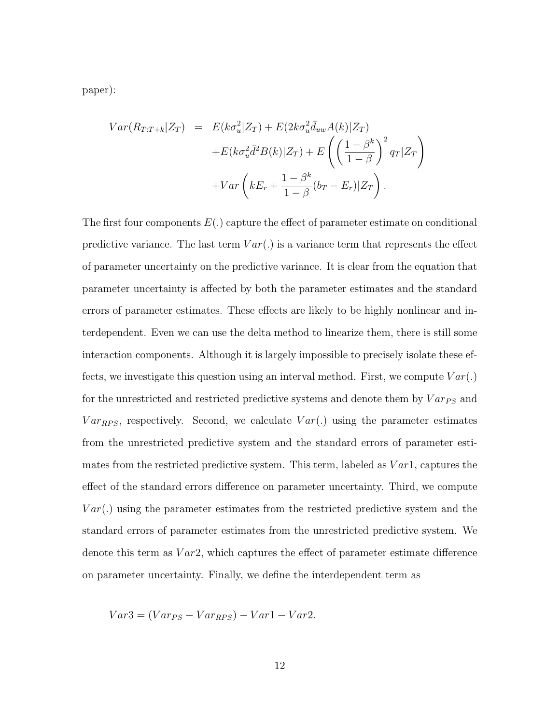paper):

$$
Var(R_{T:T+k}|Z_T) = E(k\sigma_u^2|Z_T) + E(2k\sigma_u^2\bar{d}_{uw}A(k)|Z_T) + E(k\sigma_u^2\bar{d}^2B(k)|Z_T) + E\left(\left(\frac{1-\beta^k}{1-\beta}\right)^2q_T|Z_T\right) + Var\left(kE_r + \frac{1-\beta^k}{1-\beta}(b_T - E_r)|Z_T\right).
$$

The first four components  $E(.)$  capture the effect of parameter estimate on conditional predictive variance. The last term  $Var(.)$  is a variance term that represents the effect of parameter uncertainty on the predictive variance. It is clear from the equation that parameter uncertainty is affected by both the parameter estimates and the standard errors of parameter estimates. These effects are likely to be highly nonlinear and interdependent. Even we can use the delta method to linearize them, there is still some interaction components. Although it is largely impossible to precisely isolate these effects, we investigate this question using an interval method. First, we compute  $Var(.)$ for the unrestricted and restricted predictive systems and denote them by  $Var_{PS}$  and  $Var_{RPS}$ , respectively. Second, we calculate  $Var(.)$  using the parameter estimates from the unrestricted predictive system and the standard errors of parameter estimates from the restricted predictive system. This term, labeled as  $Var1$ , captures the effect of the standard errors difference on parameter uncertainty. Third, we compute  $Var(.)$  using the parameter estimates from the restricted predictive system and the standard errors of parameter estimates from the unrestricted predictive system. We denote this term as  $Var2$ , which captures the effect of parameter estimate difference on parameter uncertainty. Finally, we define the interdependent term as

$$
Var3 = (Var_{PS} - Var_{RPS}) - Var1 - Var2.
$$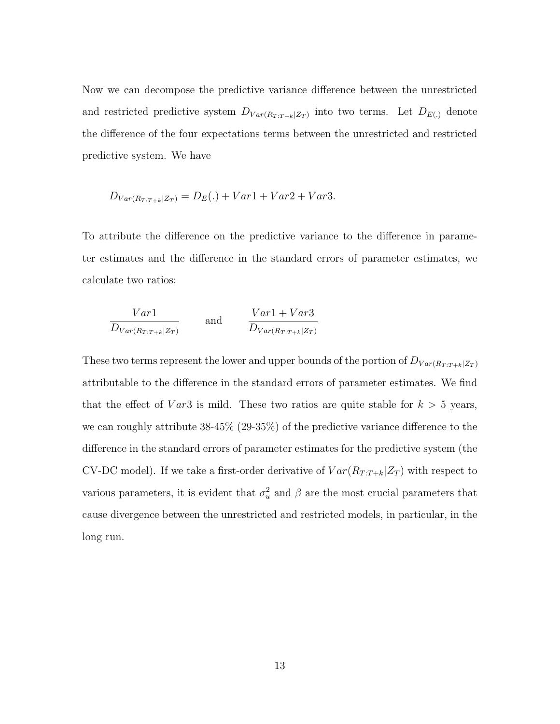Now we can decompose the predictive variance difference between the unrestricted and restricted predictive system  $D_{Var(R_T : T + k|Z_T)}$  into two terms. Let  $D_{E(.)}$  denote the difference of the four expectations terms between the unrestricted and restricted predictive system. We have

$$
D_{Var(R_T, T+k|Z_T)} = D_E(.) + Var1 + Var2 + Var3.
$$

To attribute the difference on the predictive variance to the difference in parameter estimates and the difference in the standard errors of parameter estimates, we calculate two ratios:

$$
\frac{Var1}{D_{Var(R_T: T+k|Z_T)}} \qquad \text{and} \qquad \frac{Var1+Var3}{D_{Var(R_T: T+k|Z_T)}}
$$

These two terms represent the lower and upper bounds of the portion of  $D_{Var(R_T : T + k|Z_T)}$ attributable to the difference in the standard errors of parameter estimates. We find that the effect of  $Var3$  is mild. These two ratios are quite stable for  $k > 5$  years, we can roughly attribute 38-45% (29-35%) of the predictive variance difference to the difference in the standard errors of parameter estimates for the predictive system (the CV-DC model). If we take a first-order derivative of  $Var(R_{T:T+k}|Z_T)$  with respect to various parameters, it is evident that  $\sigma_u^2$  and  $\beta$  are the most crucial parameters that cause divergence between the unrestricted and restricted models, in particular, in the long run.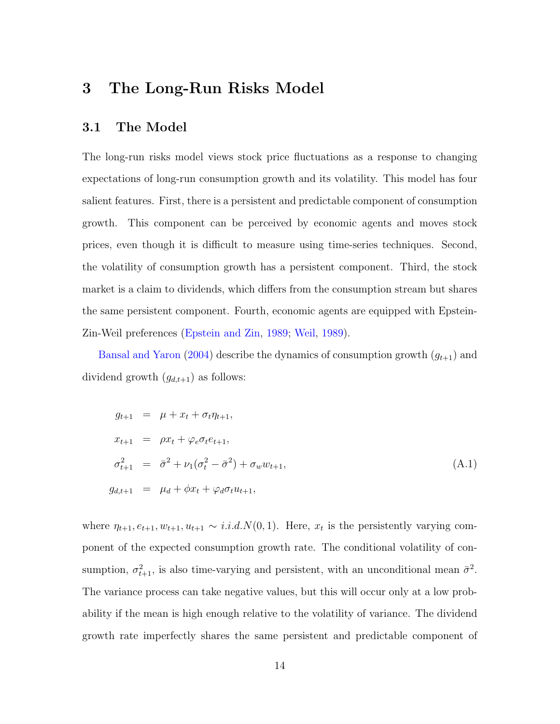# <span id="page-13-0"></span>3 The Long-Run Risks Model

### 3.1 The Model

The long-run risks model views stock price fluctuations as a response to changing expectations of long-run consumption growth and its volatility. This model has four salient features. First, there is a persistent and predictable component of consumption growth. This component can be perceived by economic agents and moves stock prices, even though it is difficult to measure using time-series techniques. Second, the volatility of consumption growth has a persistent component. Third, the stock market is a claim to dividends, which differs from the consumption stream but shares the same persistent component. Fourth, economic agents are equipped with Epstein-Zin-Weil preferences [\(Epstein and Zin,](#page-18-7) [1989;](#page-18-7) [Weil,](#page-19-3) [1989\)](#page-19-3).

[Bansal and Yaron](#page-18-0) [\(2004\)](#page-18-0) describe the dynamics of consumption growth  $(g_{t+1})$  and dividend growth  $(g_{d,t+1})$  as follows:

<span id="page-13-1"></span>
$$
g_{t+1} = \mu + x_t + \sigma_t \eta_{t+1},
$$
  
\n
$$
x_{t+1} = \rho x_t + \varphi_e \sigma_t e_{t+1},
$$
  
\n
$$
\sigma_{t+1}^2 = \bar{\sigma}^2 + \nu_1 (\sigma_t^2 - \bar{\sigma}^2) + \sigma_w w_{t+1},
$$
  
\n
$$
g_{d,t+1} = \mu_d + \phi x_t + \varphi_d \sigma_t u_{t+1},
$$
\n(A.1)

where  $\eta_{t+1}, e_{t+1}, w_{t+1}, u_{t+1} \sim i.i.d.N(0,1)$ . Here,  $x_t$  is the persistently varying component of the expected consumption growth rate. The conditional volatility of consumption,  $\sigma_{t+1}^2$ , is also time-varying and persistent, with an unconditional mean  $\bar{\sigma}^2$ . The variance process can take negative values, but this will occur only at a low probability if the mean is high enough relative to the volatility of variance. The dividend growth rate imperfectly shares the same persistent and predictable component of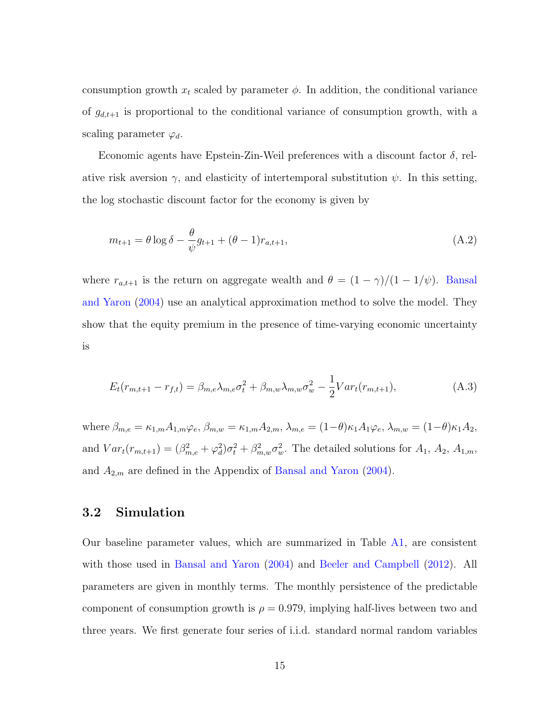consumption growth  $x_t$  scaled by parameter  $\phi$ . In addition, the conditional variance of  $g_{d,t+1}$  is proportional to the conditional variance of consumption growth, with a scaling parameter  $\varphi_d$ .

Economic agents have Epstein-Zin-Weil preferences with a discount factor  $\delta$ , relative risk aversion  $\gamma$ , and elasticity of intertemporal substitution  $\psi$ . In this setting, the log stochastic discount factor for the economy is given by

$$
m_{t+1} = \theta \log \delta - \frac{\theta}{\psi} g_{t+1} + (\theta - 1) r_{a,t+1},
$$
\n(A.2)

where  $r_{a,t+1}$  is the return on aggregate wealth and  $\theta = (1 - \gamma)/(1 - 1/\psi)$ . [Bansal](#page-18-0) [and Yaron](#page-18-0) [\(2004\)](#page-18-0) use an analytical approximation method to solve the model. They show that the equity premium in the presence of time-varying economic uncertainty is

<span id="page-14-0"></span>
$$
E_t(r_{m,t+1} - r_{f,t}) = \beta_{m,e} \lambda_{m,e} \sigma_t^2 + \beta_{m,w} \lambda_{m,w} \sigma_w^2 - \frac{1}{2} Var_t(r_{m,t+1}),
$$
\n(A.3)

where  $\beta_{m,e} = \kappa_{1,m} A_{1,m} \varphi_e$ ,  $\beta_{m,w} = \kappa_{1,m} A_{2,m}$ ,  $\lambda_{m,e} = (1-\theta)\kappa_1 A_1 \varphi_e$ ,  $\lambda_{m,w} = (1-\theta)\kappa_1 A_2$ , and  $Var_t(r_{m,t+1}) = (\beta_{m,e}^2 + \varphi_d^2)\sigma_t^2 + \beta_{m,w}^2 \sigma_w^2$ . The detailed solutions for  $A_1, A_2, A_{1,m}$ , and  $A_{2,m}$  are defined in the Appendix of [Bansal and Yaron](#page-18-0) [\(2004\)](#page-18-0).

## 3.2 Simulation

Our baseline parameter values, which are summarized in Table [A1,](#page-16-0) are consistent with those used in [Bansal and Yaron](#page-18-0) [\(2004\)](#page-18-0) and [Beeler and Campbell](#page-18-8) [\(2012\)](#page-18-8). All parameters are given in monthly terms. The monthly persistence of the predictable component of consumption growth is  $\rho = 0.979$ , implying half-lives between two and three years. We first generate four series of i.i.d. standard normal random variables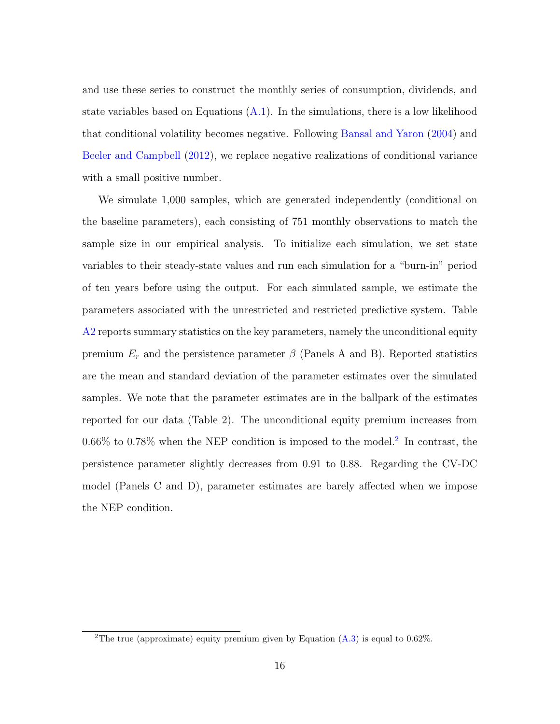and use these series to construct the monthly series of consumption, dividends, and state variables based on Equations  $(A.1)$ . In the simulations, there is a low likelihood that conditional volatility becomes negative. Following [Bansal and Yaron](#page-18-0) [\(2004\)](#page-18-0) and [Beeler and Campbell](#page-18-8) [\(2012\)](#page-18-8), we replace negative realizations of conditional variance with a small positive number.

We simulate 1,000 samples, which are generated independently (conditional on the baseline parameters), each consisting of 751 monthly observations to match the sample size in our empirical analysis. To initialize each simulation, we set state variables to their steady-state values and run each simulation for a "burn-in" period of ten years before using the output. For each simulated sample, we estimate the parameters associated with the unrestricted and restricted predictive system. Table [A2](#page-17-0) reports summary statistics on the key parameters, namely the unconditional equity premium  $E_r$  and the persistence parameter  $\beta$  (Panels A and B). Reported statistics are the mean and standard deviation of the parameter estimates over the simulated samples. We note that the parameter estimates are in the ballpark of the estimates reported for our data (Table 2). The unconditional equity premium increases from 0.66% to 0.78% when the NEP condition is imposed to the model.<sup>[2](#page-15-0)</sup> In contrast, the persistence parameter slightly decreases from 0.91 to 0.88. Regarding the CV-DC model (Panels C and D), parameter estimates are barely affected when we impose the NEP condition.

<span id="page-15-0"></span><sup>&</sup>lt;sup>2</sup>The true (approximate) equity premium given by Equation  $(A.3)$  is equal to 0.62%.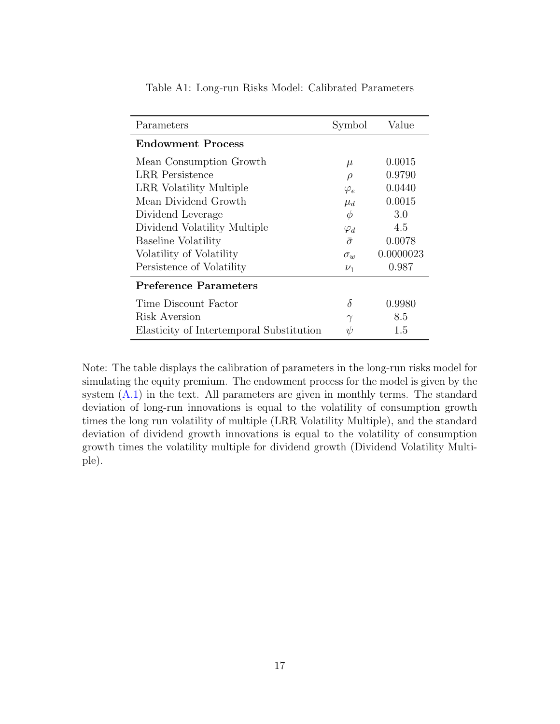| Parameters                               | Symbol         | Value     |
|------------------------------------------|----------------|-----------|
| <b>Endowment Process</b>                 |                |           |
| Mean Consumption Growth                  | $\mu$          | 0.0015    |
| LRR Persistence                          | $\rho$         | 0.9790    |
| LRR Volatility Multiple                  | $\varphi_e$    | 0.0440    |
| Mean Dividend Growth                     | $\mu_d$        | 0.0015    |
| Dividend Leverage                        | $\phi$         | 3.0       |
| Dividend Volatility Multiple             | $\varphi_d$    | 4.5       |
| Baseline Volatility                      | $\bar{\sigma}$ | 0.0078    |
| Volatility of Volatility                 | $\sigma_w$     | 0.0000023 |
| Persistence of Volatility                | $\nu_1$        | 0.987     |
| <b>Preference Parameters</b>             |                |           |
| Time Discount Factor                     | $\delta$       | 0.9980    |
| Risk Aversion                            | $\gamma$       | 8.5       |
| Elasticity of Intertemporal Substitution | $\psi$         | 1.5       |

<span id="page-16-0"></span>Table A1: Long-run Risks Model: Calibrated Parameters

Note: The table displays the calibration of parameters in the long-run risks model for simulating the equity premium. The endowment process for the model is given by the system  $(A.1)$  in the text. All parameters are given in monthly terms. The standard deviation of long-run innovations is equal to the volatility of consumption growth times the long run volatility of multiple (LRR Volatility Multiple), and the standard deviation of dividend growth innovations is equal to the volatility of consumption growth times the volatility multiple for dividend growth (Dividend Volatility Multiple).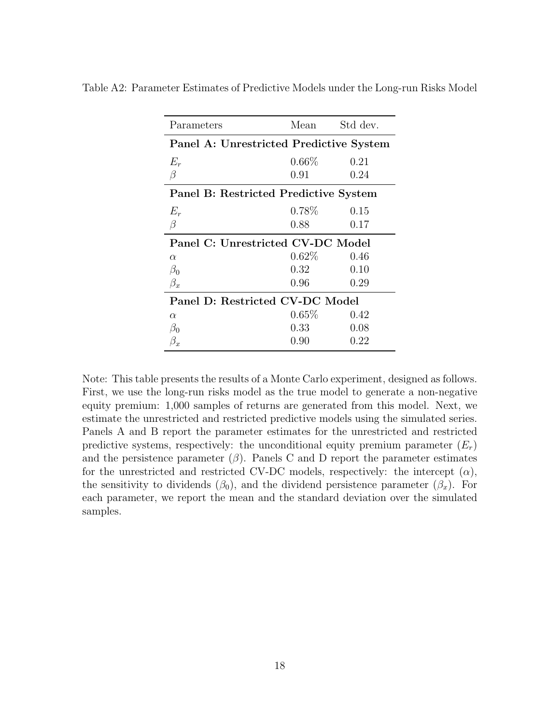| Parameters                              | Mean     | Std dev. |  |
|-----------------------------------------|----------|----------|--|
| Panel A: Unrestricted Predictive System |          |          |  |
| $E_r$                                   | $0.66\%$ | 0.21     |  |
| $\beta$                                 | 0.91     | 0.24     |  |
| Panel B: Restricted Predictive System   |          |          |  |
| $E_r$                                   | $0.78\%$ | 0.15     |  |
| $\beta$                                 | 0.88     | 0.17     |  |
| Panel C: Unrestricted CV-DC Model       |          |          |  |
| $\alpha$                                | $0.62\%$ | 0.46     |  |
| $\beta_0$                               | $0.32\,$ | 0.10     |  |
| $\beta_x$                               | 0.96     | 0.29     |  |
| Panel D: Restricted CV-DC Model         |          |          |  |
| $\alpha$                                | 0.65%    | 0.42     |  |
| $\beta_0$                               | 0.33     | 0.08     |  |
| $\beta_x$                               | 0.90     | 0.22     |  |
|                                         |          |          |  |

<span id="page-17-0"></span>Table A2: Parameter Estimates of Predictive Models under the Long-run Risks Model

Note: This table presents the results of a Monte Carlo experiment, designed as follows. First, we use the long-run risks model as the true model to generate a non-negative equity premium: 1,000 samples of returns are generated from this model. Next, we estimate the unrestricted and restricted predictive models using the simulated series. Panels A and B report the parameter estimates for the unrestricted and restricted predictive systems, respectively: the unconditional equity premium parameter  $(E_r)$ and the persistence parameter  $(\beta)$ . Panels C and D report the parameter estimates for the unrestricted and restricted CV-DC models, respectively: the intercept  $(\alpha)$ , the sensitivity to dividends ( $\beta_0$ ), and the dividend persistence parameter ( $\beta_x$ ). For each parameter, we report the mean and the standard deviation over the simulated samples.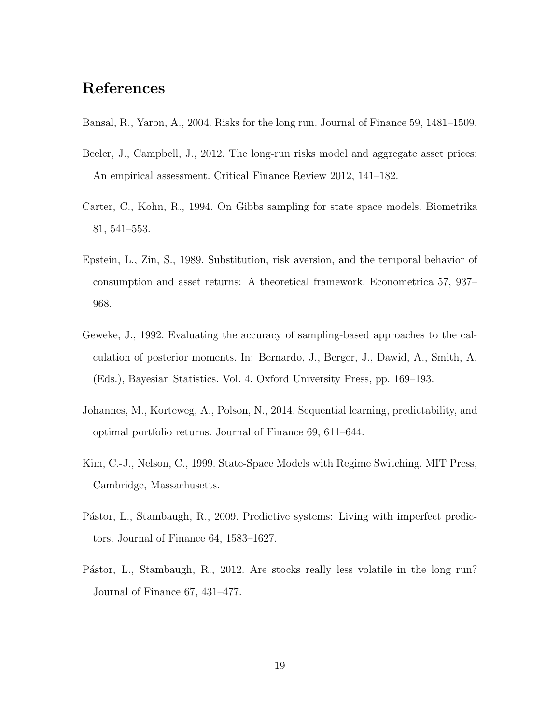# References

- <span id="page-18-0"></span>Bansal, R., Yaron, A., 2004. Risks for the long run. Journal of Finance 59, 1481–1509.
- <span id="page-18-8"></span>Beeler, J., Campbell, J., 2012. The long-run risks model and aggregate asset prices: An empirical assessment. Critical Finance Review 2012, 141–182.
- <span id="page-18-1"></span>Carter, C., Kohn, R., 1994. On Gibbs sampling for state space models. Biometrika 81, 541–553.
- <span id="page-18-7"></span>Epstein, L., Zin, S., 1989. Substitution, risk aversion, and the temporal behavior of consumption and asset returns: A theoretical framework. Econometrica 57, 937– 968.
- <span id="page-18-5"></span>Geweke, J., 1992. Evaluating the accuracy of sampling-based approaches to the calculation of posterior moments. In: Bernardo, J., Berger, J., Dawid, A., Smith, A. (Eds.), Bayesian Statistics. Vol. 4. Oxford University Press, pp. 169–193.
- <span id="page-18-4"></span>Johannes, M., Korteweg, A., Polson, N., 2014. Sequential learning, predictability, and optimal portfolio returns. Journal of Finance 69, 611–644.
- <span id="page-18-2"></span>Kim, C.-J., Nelson, C., 1999. State-Space Models with Regime Switching. MIT Press, Cambridge, Massachusetts.
- <span id="page-18-3"></span>Pástor, L., Stambaugh, R., 2009. Predictive systems: Living with imperfect predictors. Journal of Finance 64, 1583–1627.
- <span id="page-18-6"></span>Pástor, L., Stambaugh, R., 2012. Are stocks really less volatile in the long run? Journal of Finance 67, 431–477.